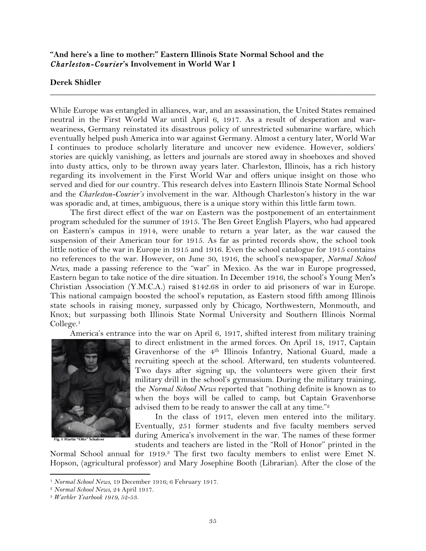## **"And here's a line to mother:" Eastern Illinois State Normal School and the**  *Charleston-Courier***'s Involvement in World War I**

## **Derek Shidler**

While Europe was entangled in alliances, war, and an assassination, the United States remained neutral in the First World War until April 6, 1917. As a result of desperation and warweariness, Germany reinstated its disastrous policy of unrestricted submarine warfare, which eventually helped push America into war against Germany. Almost a century later, World War I continues to produce scholarly literature and uncover new evidence. However, soldiers' stories are quickly vanishing, as letters and journals are stored away in shoeboxes and shoved into dusty attics, only to be thrown away years later. Charleston, Illinois, has a rich history regarding its involvement in the First World War and offers unique insight on those who served and died for our country. This research delves into Eastern Illinois State Normal School and the *Charleston-Courier's* involvement in the war. Although Charleston's history in the war was sporadic and, at times, ambiguous, there is a unique story within this little farm town.

\_\_\_\_\_\_\_\_\_\_\_\_\_\_\_\_\_\_\_\_\_\_\_\_\_\_\_\_\_\_\_\_\_\_\_\_\_\_\_\_\_\_\_\_\_\_\_\_\_\_\_\_\_\_\_\_\_\_\_\_\_\_\_\_\_\_\_\_\_\_\_\_\_\_\_\_\_\_

The first direct effect of the war on Eastern was the postponement of an entertainment program scheduled for the summer of 1915. The Ben Greet English Players, who had appeared on Eastern's campus in 1914, were unable to return a year later, as the war caused the suspension of their American tour for 1915. As far as printed records show, the school took little notice of the war in Europe in 1915 and 1916. Even the school catalogue for 1915 contains no references to the war. However, on June 30, 1916, the school's newspaper, *Normal School News*, made a passing reference to the "war" in Mexico. As the war in Europe progressed, Eastern began to take notice of the dire situation. In December 1916, the school's Young Men**'**s Christian Association (Y.M.C.A.) raised \$142.68 in order to aid prisoners of war in Europe. This national campaign boosted the school's reputation, as Eastern stood fifth among Illinois state schools in raising money, surpassed only by Chicago, Northwestern, Monmouth, and Knox; but surpassing both Illinois State Normal University and Southern Illinois Normal College.1

America's entrance into the war on April 6, 1917, shifted interest from military training



to direct enlistment in the armed forces. On April 18, 1917, Captain Gravenhorse of the 4th Illinois Infantry, National Guard, made a recruiting speech at the school. Afterward, ten students volunteered. Two days after signing up, the volunteers were given their first military drill in the school's gymnasium. During the military training, the *Normal School News* reported that "nothing definite is known as to when the boys will be called to camp, but Captain Gravenhorse advised them to be ready to answer the call at any time."<sup>2</sup>

In the class of 1917, eleven men entered into the military. Eventually, 251 former students and five faculty members served during America's involvement in the war. The names of these former students and teachers are listed in the "Roll of Honor" printed in the

Normal School annual for 1919.3 The first two faculty members to enlist were Emet N. Hopson, (agricultural professor) and Mary Josephine Booth (Librarian). After the close of the

<sup>1</sup> *Normal School News*, 19 December 1916; 6 February 1917. 2 *Normal School News*, 24 April 1917. 3 *Warbler Yearbook 1919*, 52-53.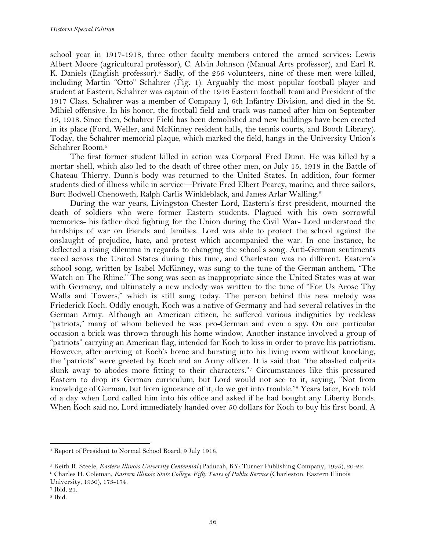school year in 1917-1918, three other faculty members entered the armed services: Lewis Albert Moore (agricultural professor), C. Alvin Johnson (Manual Arts professor), and Earl R. K. Daniels (English professor).<sup>4</sup> Sadly, of the 256 volunteers, nine of these men were killed, including Martin "Otto" Schahrer (Fig. 1). Arguably the most popular football player and student at Eastern, Schahrer was captain of the 1916 Eastern football team and President of the 1917 Class. Schahrer was a member of Company I, 6th Infantry Division, and died in the St. Mihiel offensive. In his honor, the football field and track was named after him on September 15, 1918. Since then, Schahrer Field has been demolished and new buildings have been erected in its place (Ford, Weller, and McKinney resident halls, the tennis courts, and Booth Library). Today, the Schahrer memorial plaque, which marked the field, hangs in the University Union's Schahrer Room.5

The first former student killed in action was Corporal Fred Dunn. He was killed by a mortar shell, which also led to the death of three other men, on July 15, 1918 in the Battle of Chateau Thierry. Dunn's body was returned to the United States. In addition, four former students died of illness while in service—Private Fred Elbert Pearcy, marine, and three sailors, Burt Bodwell Chenoweth, Ralph Carlis Winkleblack, and James Arlar Walling.6

During the war years, Livingston Chester Lord, Eastern's first president, mourned the death of soldiers who were former Eastern students. Plagued with his own sorrowful memories- his father died fighting for the Union during the Civil War- Lord understood the hardships of war on friends and families. Lord was able to protect the school against the onslaught of prejudice, hate, and protest which accompanied the war. In one instance, he deflected a rising dilemma in regards to changing the school's song. Anti-German sentiments raced across the United States during this time, and Charleston was no different. Eastern's school song, written by Isabel McKinney, was sung to the tune of the German anthem, "The Watch on The Rhine." The song was seen as inappropriate since the United States was at war with Germany, and ultimately a new melody was written to the tune of "For Us Arose Thy Walls and Towers," which is still sung today. The person behind this new melody was Friederick Koch. Oddly enough, Koch was a native of Germany and had several relatives in the German Army. Although an American citizen, he suffered various indignities by reckless "patriots," many of whom believed he was pro-German and even a spy. On one particular occasion a brick was thrown through his home window. Another instance involved a group of "patriots" carrying an American flag, intended for Koch to kiss in order to prove his patriotism. However, after arriving at Koch's home and bursting into his living room without knocking, the "patriots" were greeted by Koch and an Army officer. It is said that "the abashed culprits slunk away to abodes more fitting to their characters."7 Circumstances like this pressured Eastern to drop its German curriculum, but Lord would not see to it, saying, "Not from knowledge of German, but from ignorance of it, do we get into trouble."8 Years later, Koch told of a day when Lord called him into his office and asked if he had bought any Liberty Bonds. When Koch said no, Lord immediately handed over 50 dollars for Koch to buy his first bond. A

<sup>4</sup> Report of President to Normal School Board, 9 July 1918.

<sup>&</sup>lt;sup>5</sup> Keith R. Steele, *Eastern Illinois University Centennial* (Paducah, KY: Turner Publishing Company, 1995), 20-22.<br><sup>6</sup> Charles H. Coleman, *Eastern Illinois State College: Fifty Years of Public Service* (Charleston: Eas University, 1950), 173-174. 7 Ibid, 21.

<sup>8</sup> Ibid.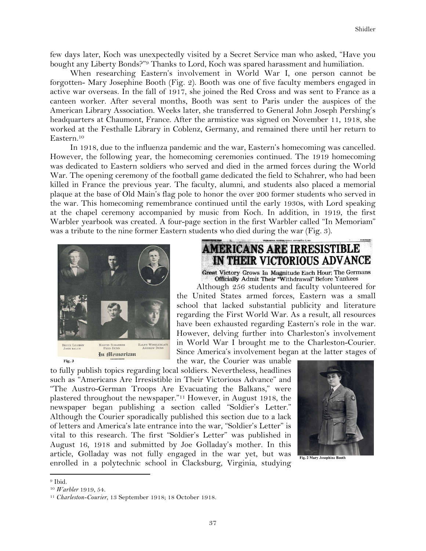few days later, Koch was unexpectedly visited by a Secret Service man who asked, "Have you bought any Liberty Bonds?"9 Thanks to Lord, Koch was spared harassment and humiliation.

When researching Eastern's involvement in World War I, one person cannot be forgotten- Mary Josephine Booth (Fig. 2). Booth was one of five faculty members engaged in active war overseas. In the fall of 1917, she joined the Red Cross and was sent to France as a canteen worker. After several months, Booth was sent to Paris under the auspices of the American Library Association. Weeks later, she transferred to General John Joseph Pershing's headquarters at Chaumont, France. After the armistice was signed on November 11, 1918, she worked at the Festhalle Library in Coblenz, Germany, and remained there until her return to Eastern.10

In 1918, due to the influenza pandemic and the war, Eastern's homecoming was cancelled. However, the following year, the homecoming ceremonies continued. The 1919 homecoming was dedicated to Eastern soldiers who served and died in the armed forces during the World War. The opening ceremony of the football game dedicated the field to Schahrer, who had been killed in France the previous year. The faculty, alumni, and students also placed a memorial plaque at the base of Old Main's flag pole to honor the over 200 former students who served in the war. This homecoming remembrance continued until the early 1930s, with Lord speaking at the chapel ceremony accompanied by music from Koch. In addition, in 1919, the first Warbler yearbook was created. A four-page section in the first Warbler called "In Memoriam" was a tribute to the nine former Eastern students who died during the war (Fig. 3).



Fig. 3

# **AMERICANS ARE IRRESISTIBLE** IN THEIR VICTORIOUS ADVANCE

Great Victory Grows In Magnitude Each Hour; The Germans<br>Officially Admit Their "Withdrawal" Before Yankees<br>Although 256 students and faculty volunteered for

the United States armed forces, Eastern was a small school that lacked substantial publicity and literature regarding the First World War. As a result, all resources have been exhausted regarding Eastern's role in the war. However, delving further into Charleston's involvement in World War I brought me to the Charleston-Courier. Since America's involvement began at the latter stages of

the war, the Courier was unable

to fully publish topics regarding local soldiers. Nevertheless, headlines such as "Americans Are Irresistible in Their Victorious Advance" and "The Austro-German Troops Are Evacuating the Balkans," were plastered throughout the newspaper."11 However, in August 1918, the newspaper began publishing a section called "Soldier's Letter." Although the Courier sporadically published this section due to a lack of letters and America's late entrance into the war, "Soldier's Letter" is vital to this research. The first "Soldier's Letter" was published in August 16, 1918 and submitted by Joe Golladay's mother. In this article, Golladay was not fully engaged in the war yet, but was enrolled in a polytechnic school in Clacksburg, Virginia, studying



Fig. 2 Mary Josephine Booth

<sup>9</sup> Ibid.

<sup>10</sup> *Warbler* 1919, 54. 11 *Charleston-Courier*, 13 September 1918; 18 October 1918.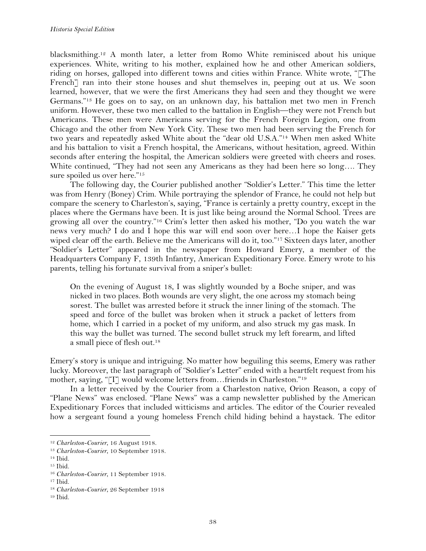blacksmithing.12 A month later, a letter from Romo White reminisced about his unique experiences. White, writing to his mother, explained how he and other American soldiers, riding on horses, galloped into different towns and cities within France. White wrote, "[The French] ran into their stone houses and shut themselves in, peeping out at us. We soon learned, however, that we were the first Americans they had seen and they thought we were Germans."13 He goes on to say, on an unknown day, his battalion met two men in French uniform. However, these two men called to the battalion in English—they were not French but Americans. These men were Americans serving for the French Foreign Legion, one from Chicago and the other from New York City. These two men had been serving the French for two years and repeatedly asked White about the "dear old U.S.A."14 When men asked White and his battalion to visit a French hospital, the Americans, without hesitation, agreed. Within seconds after entering the hospital, the American soldiers were greeted with cheers and roses. White continued, "They had not seen any Americans as they had been here so long…. They sure spoiled us over here."<sup>15</sup>

The following day, the Courier published another "Soldier's Letter." This time the letter was from Henry (Boney) Crim. While portraying the splendor of France, he could not help but compare the scenery to Charleston's, saying, "France is certainly a pretty country, except in the places where the Germans have been. It is just like being around the Normal School. Trees are growing all over the country."16 Crim's letter then asked his mother, "Do you watch the war news very much? I do and I hope this war will end soon over here…I hope the Kaiser gets wiped clear off the earth. Believe me the Americans will do it, too."17 Sixteen days later, another "Soldier's Letter" appeared in the newspaper from Howard Emery, a member of the Headquarters Company F, 139th Infantry, American Expeditionary Force. Emery wrote to his parents, telling his fortunate survival from a sniper's bullet:

On the evening of August 18, I was slightly wounded by a Boche sniper, and was nicked in two places. Both wounds are very slight, the one across my stomach being sorest. The bullet was arrested before it struck the inner lining of the stomach. The speed and force of the bullet was broken when it struck a packet of letters from home, which I carried in a pocket of my uniform, and also struck my gas mask. In this way the bullet was turned. The second bullet struck my left forearm, and lifted a small piece of flesh out.18

Emery's story is unique and intriguing. No matter how beguiling this seems, Emery was rather lucky. Moreover, the last paragraph of "Soldier's Letter" ended with a heartfelt request from his mother, saying, "[I] would welcome letters from...friends in Charleston."<sup>19</sup>

In a letter received by the Courier from a Charleston native, Orion Reason, a copy of "Plane News" was enclosed. "Plane News" was a camp newsletter published by the American Expeditionary Forces that included witticisms and articles. The editor of the Courier revealed how a sergeant found a young homeless French child hiding behind a haystack. The editor

<sup>!!!!!!!!!!!!!!!!!!!!!!!!!!!!!!!!!!!!!!!!!!!!!!!!!!!!!!!!!!!!</sup>

<sup>12</sup> *Charleston-Courier*, 16 August 1918. 13 *Charleston-Courier*, 10 September 1918.

<sup>14</sup> Ibid.

<sup>15</sup> Ibid.

<sup>16</sup> *Charleston-Courier*, 11 September 1918.

<sup>17</sup> Ibid.

<sup>18</sup> *Charleston-Courier*, 26 September 1918

<sup>19</sup> Ibid.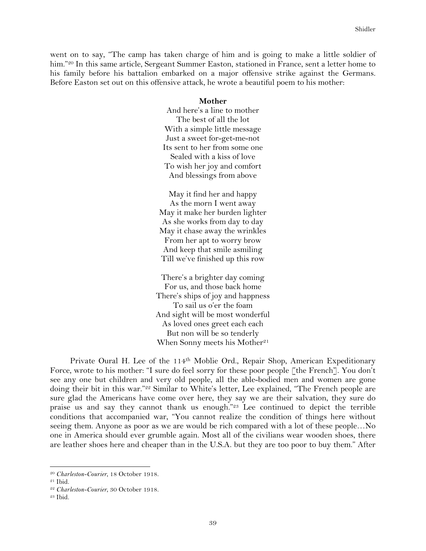went on to say, "The camp has taken charge of him and is going to make a little soldier of him."<sup>20</sup> In this same article, Sergeant Summer Easton, stationed in France, sent a letter home to his family before his battalion embarked on a major offensive strike against the Germans. Before Easton set out on this offensive attack, he wrote a beautiful poem to his mother:

#### **Mother**

And here's a line to mother The best of all the lot With a simple little message Just a sweet for-get-me-not Its sent to her from some one Sealed with a kiss of love To wish her joy and comfort And blessings from above

May it find her and happy As the morn I went away May it make her burden lighter As she works from day to day May it chase away the wrinkles From her apt to worry brow And keep that smile asmiling Till we've finished up this row

There's a brighter day coming For us, and those back home There's ships of joy and happness To sail us o'er the foam And sight will be most wonderful As loved ones greet each each But non will be so tenderly When Sonny meets his Mother<sup>21</sup>

Private Oural H. Lee of the 114th Moblie Ord., Repair Shop, American Expeditionary Force, wrote to his mother: "I sure do feel sorry for these poor people [the French]. You don't see any one but children and very old people, all the able-bodied men and women are gone doing their bit in this war."<sup>22</sup> Similar to White's letter, Lee explained, "The French people are sure glad the Americans have come over here, they say we are their salvation, they sure do praise us and say they cannot thank us enough."23 Lee continued to depict the terrible conditions that accompanied war, "You cannot realize the condition of things here without seeing them. Anyone as poor as we are would be rich compared with a lot of these people…No one in America should ever grumble again. Most all of the civilians wear wooden shoes, there are leather shoes here and cheaper than in the U.S.A. but they are too poor to buy them." After

<sup>!!!!!!!!!!!!!!!!!!!!!!!!!!!!!!!!!!!!!!!!!!!!!!!!!!!!!!!!!!!!</sup> <sup>20</sup> *Charleston-Courier*, 18 October 1918.

<sup>21</sup> Ibid. 22 *Charleston-Courier*, 30 October 1918. 23 Ibid.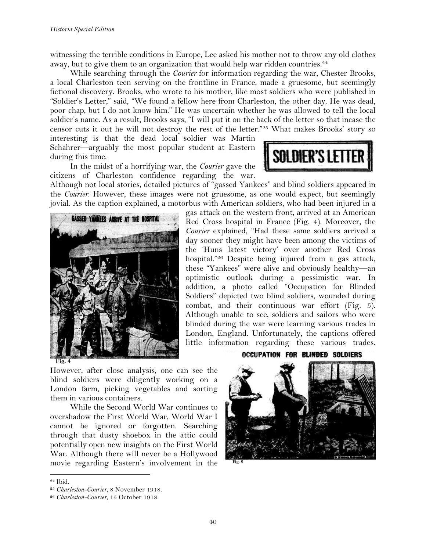witnessing the terrible conditions in Europe, Lee asked his mother not to throw any old clothes away, but to give them to an organization that would help war ridden countries.<sup>24</sup>

While searching through the *Courier* for information regarding the war, Chester Brooks, a local Charleston teen serving on the frontline in France, made a gruesome, but seemingly fictional discovery. Brooks, who wrote to his mother, like most soldiers who were published in "Soldier's Letter," said, "We found a fellow here from Charleston, the other day. He was dead, poor chap, but I do not know him." He was uncertain whether he was allowed to tell the local soldier's name. As a result, Brooks says, "I will put it on the back of the letter so that incase the censor cuts it out he will not destroy the rest of the letter."25 What makes Brooks' story so

interesting is that the dead local soldier was Martin Schahrer—arguably the most popular student at Eastern during this time.

In the midst of a horrifying war, the *Courier* gave the citizens of Charleston confidence regarding the war.





gas attack on the western front, arrived at an American Red Cross hospital in France (Fig. 4). Moreover, the *Courier* explained, "Had these same soldiers arrived a day sooner they might have been among the victims of the 'Huns latest victory' over another Red Cross hospital."26 Despite being injured from a gas attack, these "Yankees" were alive and obviously healthy—an optimistic outlook during a pessimistic war. In addition, a photo called "Occupation for Blinded Soldiers" depicted two blind soldiers, wounded during combat, and their continuous war effort (Fig. 5). Although unable to see, soldiers and sailors who were blinded during the war were learning various trades in London, England. Unfortunately, the captions offered little information regarding these various trades.

However, after close analysis, one can see the blind soldiers were diligently working on a London farm, picking vegetables and sorting them in various containers.

While the Second World War continues to overshadow the First World War, World War I cannot be ignored or forgotten. Searching through that dusty shoebox in the attic could potentially open new insights on the First World War. Although there will never be a Hollywood movie regarding Eastern's involvement in the

### **OCCUPATION FOR BLINDED SOLDIERS**



<sup>24</sup> Ibid. 25 *Charleston-Courier*, 8 November 1918.

<sup>26</sup> *Charleston-Courier*, 15 October 1918.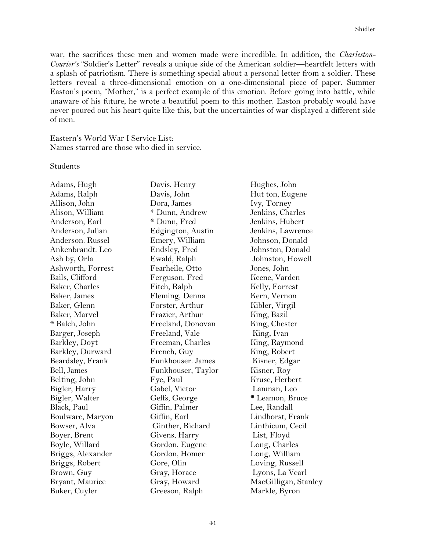war, the sacrifices these men and women made were incredible. In addition, the *Charleston-Courier's* "Soldier's Letter" reveals a unique side of the American soldier—heartfelt letters with a splash of patriotism. There is something special about a personal letter from a soldier. These letters reveal a three-dimensional emotion on a one-dimensional piece of paper. Summer Easton's poem, "Mother," is a perfect example of this emotion. Before going into battle, while unaware of his future, he wrote a beautiful poem to this mother. Easton probably would have never poured out his heart quite like this, but the uncertainties of war displayed a different side of men.

Eastern's World War I Service List: Names starred are those who died in service.

**Students** 

Adams, Hugh Davis, Henry Hughes, John Adams, Ralph Davis, John Hut ton, Eugene Allison, John Dora, James Ivy, Torney Alison, William  $*$  Dunn, Andrew Jenkins, Charles Anderson, Earl  $*$  Dunn, Fred Jenkins, Hubert Anderson, Julian Edgington, Austin Jenkins, Lawrence Anderson. Russel Emery, William Johnson, Donald Ankenbrandt. Leo Endsley, Fred Johnston, Donald Ash by, Orla Ewald, Ralph Johnston, Howell Ashworth, Forrest Fearheile, Otto Jones, John Bails, Clifford **Ferguson.** Fred Keene, Varden Baker, Charles Fitch, Ralph Kelly, Forrest Baker, James Fleming, Denna Kern, Vernon Baker, Glenn Forster, Arthur Kibler, Virgil Baker, Marvel Frazier, Arthur King, Bazil \* Balch, John Freeland, Donovan King, Chester Barger, Joseph Freeland, Vale King, Ivan Barkley, Doyt Freeman, Charles King, Raymond Barkley, Durward French, Guy King, Robert Beardsley, Frank Funkhouser. James Kisner, Edgar Bell, James **Funkhouser**, Taylor Kisner, Roy Belting, John Fye, Paul Kruse, Herbert Bigler, Harry Gabel, Victor Lanman, Leo Bigler, Walter Geffs, George \* Leamon, Bruce Black, Paul Giffin, Palmer Lee, Randall Boulware, Maryon Giffin, Earl Lindhorst, Frank Bowser, Alva Ginther, Richard Linthicum, Cecil Boyer, Brent Givens, Harry List, Floyd Boyle, Willard Gordon, Eugene Long, Charles Briggs, Alexander Gordon, Homer Long, William Briggs, Robert Gore, Olin Loving, Russell Brown, Guy Gray, Horace Lyons, La Vearl Bryant, Maurice **Gray, Howard MacGilligan, Stanley** Buker, Cuyler Greeson, Ralph Markle, Byron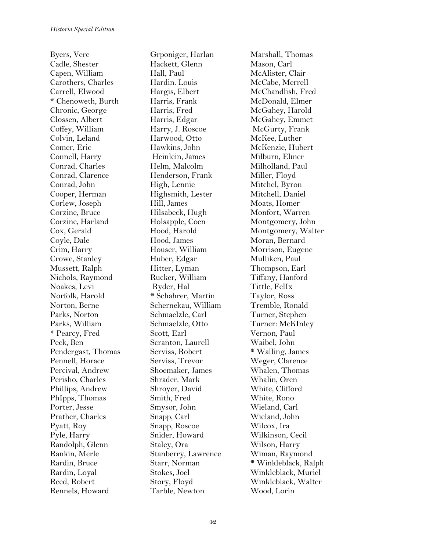Byers, Vere Grponiger, Harlan Marshall, Thomas Cadle, Shester Hackett, Glenn Mason, Carl Capen, William Hall, Paul McAlister, Clair Carothers, Charles Hardin. Louis McCabe, Merrell \* Chenoweth, Burth Harris, Frank McDonald, Elmer Chronic, George Harris, Fred McGahey, Harold Clossen, Albert Harris, Edgar McGahey, Emmet Coffey, William Harry, J. Roscoe McGurty, Frank Colvin, Leland Harwood, Otto McKee, Luther Comer, Eric Hawkins, John McKenzie, Hubert Connell, Harry Heinlein, James Milburn, Elmer Conrad, Charles Helm, Malcolm Milholland, Paul Conrad, Clarence Henderson, Frank Miller, Floyd Conrad, John High, Lennie Mitchel, Byron Cooper, Herman Highsmith, Lester Mitchell, Daniel Corlew, Joseph Hill, James Moats, Homer Corzine, Bruce Hilsabeck, Hugh Monfort, Warren Corzine, Harland Holsapple, Coen Montgomery, John Coyle, Dale **Hood, James** Moran, Bernard Crim, Harry **Houser, William** Morrison, Eugene Crowe, Stanley **Huber**, Edgar Mulliken, Paul Mussett, Ralph Hitter, Lyman Thompson, Earl Nichols, Raymond Rucker, William Tiffany, Hanford Noakes, Levi Ryder, Hal Tittle, FelIx Norfolk, Harold  $*$  Schahrer, Martin Taylor, Ross Norton, Berne Schernekau, William Tremble, Ronald Parks, Norton Schmaelzle, Carl Turner, Stephen Parks, William Schmaelzle, Otto Turner: McKInley \* Pearcy, Fred Scott, Earl Vernon, Paul Peck, Ben Scranton, Laurell Waibel, John Pendergast, Thomas Serviss, Robert \* Walling, James Pennell, Horace Serviss, Trevor Weger, Clarence Percival, Andrew Shoemaker, James Whalen, Thomas Perisho, Charles Shrader. Mark Whalin, Oren Phillips, Andrew Shroyer, David White, Clifford PhIpps, Thomas Smith, Fred White, Rono Porter, Jesse Smysor, John Wieland, Carl Prather, Charles Snapp, Carl Wieland, John Pyatt, Roy Snapp, Roscoe Wilcox, Ira Pyle, Harry Snider, Howard Wilkinson, Cecil Randolph, Glenn Staley, Ora Wilson, Harry Rankin, Merle Stanberry, Lawrence Wiman, Raymond Rardin, Loyal Stokes, Joel Winkleblack, Muriel Reed, Robert Story, Floyd Winkleblack, Walter Rennels, Howard Tarble, Newton Wood, Lorin

Hargis, Elbert McChandlish, Fred Cox, Gerald Hood, Harold Montgomery, Walter Rardin, Bruce Starr, Norman \* Winkleblack, Ralph